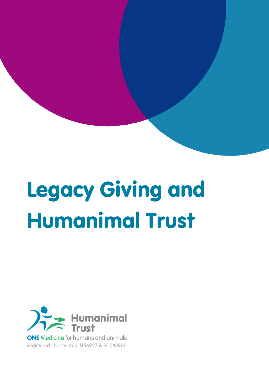# Legacy Giving and Humanimal Trust



**ONE** Medicine for humans and animals Registered charity no.s 1156927 & SC048960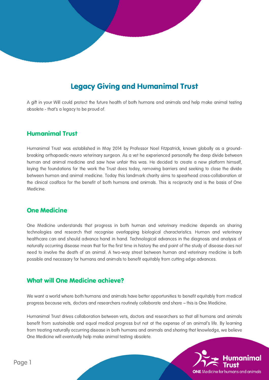## Legacy Giving and Humanimal Trust

A gift in your Will could protect the future health of both humans and animals and help make animal testing obsolete - that's a legacy to be proud of.

#### Humanimal Trust

Humanimal Trust was established in May 2014 by Professor Noel Fitzpatrick, known globally as a groundbreaking orthopaedic-neuro veterinary surgeon. As a vet he experienced personally the deep divide between human and animal medicine and saw how unfair this was. He decided to create a new platform himself, laying the foundations for the work the Trust does today, removing barriers and seeking to close the divide between human and animal medicine. Today this landmark charity aims to spearhead cross-collaboration at the clinical coalface for the benefit of both humans and animals. This is reciprocity and is the basis of One Medicine.

#### One Medicine

One Medicine understands that progress in both human and veterinary medicine depends on sharing technologies and research that recognise overlapping biological characteristics. Human and veterinary healthcare can and should advance hand in hand. Technological advances in the diagnosis and analysis of naturally occurring disease mean that for the first time in history the end point of the study of disease does not need to involve the death of an animal. A two-way street between human and veterinary medicine is both possible and necessary for humans and animals to benefit equitably from cutting edge advances.

#### What will One Medicine achieve?

We want a world where both humans and animals have better opportunities to benefit equitably from medical progress because vets, doctors and researchers routinely collaborate and share – this is One Medicine.

Humanimal Trust drives collaboration between vets, doctors and researchers so that all humans and animals benefit from sustainable and equal medical progress but not at the expense of an animal's life. By learning from treating naturally occurring disease in both humans and animals and sharing that knowledge, we believe One Medicine will eventually help make animal testing obsolete.

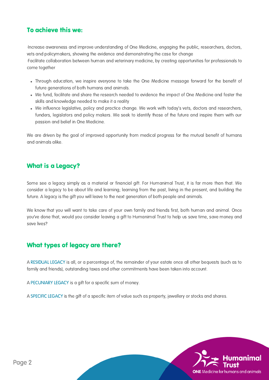## To achieve this we:

·Increase awareness and improve understanding of One Medicine, engaging the public, researchers, doctors, vets and policymakers, showing the evidence and demonstrating the case for change

·Facilitate collaboration between human and veterinary medicine, by creating opportunities for professionals to come together

- Through education, we inspire everyone to take the One Medicine message forward for the benefit of future generations of both humans and animals.
- We fund, facilitate and share the research needed to evidence the impact of One Medicine and foster the skills and knowledge needed to make it a reality
- We influence legislative, policy and practice change. We work with today's vets, doctors and researchers, funders, legislators and policy makers. We seek to identify those of the future and inspire them with our passion and belief in One Medicine.

We are driven by the goal of improved opportunity from medical progress for the mutual benefit of humans and animals alike.

## What is a Legacy?

Some see a legacy simply as a material or financial gift. For Humanimal Trust, it is far more than that. We consider a legacy to be about life and learning; learning from the past, living in the present, and building the future. A legacy is the gift you will leave to the next generation of both people and animals.

We know that you will want to take care of your own family and friends first, both human and animal. Once you've done that, would you consider leaving a gift to Humanimal Trust to help us save time, save money and save lives?

## What types of legacy are there?

A RESIDUAL LEGACY is all, or a percentage of, the remainder of your estate once all other bequests (such as to family and friends), outstanding taxes and other commitments have been taken into account.

A PECUNIARY LEGACY is a gift for a specific sum of money.

A SPECIFIC LEGACY is the gift of a specific item of value such as property, jewellery or stocks and shares.

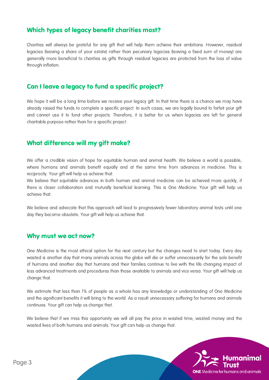## Which types of legacy benefit charities most?

Charities will always be grateful for any gift that will help them achieve their ambitions. However, residual legacies (leaving a share of your estate) rather than pecuniary legacies (leaving a fixed sum of money) are generally more beneficial to charities as gifts through residual legacies are protected from the loss of value through inflation.

## Can I leave a legacy to fund a specific project?

We hope it will be a long time before we receive your legacy gift. In that time there is a chance we may have already raised the funds to complete a specific project. In such cases, we are legally bound to forfeit your gift and cannot use it to fund other projects. Therefore, it is better for us when legacies are left for general charitable purpose rather than for a specific project.

## What difference will my gift make?

We offer a credible vision of hope for equitable human and animal health. We believe a world is possible, where humans and animals benefit equally and at the same time from advances in medicine. This is reciprocity. Your gift will help us achieve that.

We believe that equitable advances in both human and animal medicine can be achieved more quickly, if there is closer collaboration and mutually beneficial learning. This is One Medicine. Your gift will help us achieve that.

We believe and advocate that this approach will lead to progressively fewer laboratory animal tests until one day they become obsolete. Your gift will help us achieve that.

#### Why must we act now?

One Medicine is the most ethical option for the next century but the changes need to start today. Every day wasted is another day that many animals across the globe will die or suffer unnecessarily for the sole benefit of humans and another day that humans and their families continue to live with the life changing impact of less advanced treatments and procedures than those available to animals and vice versa. Your gift will help us change that.

We estimate that less than 1% of people as a whole has any knowledge or understanding of One Medicine and the significant benefits it will bring to the world. As a result unnecessary suffering for humans and animals continues. Your gift can help us change that.

We believe that if we miss this opportunity we will all pay the price in wasted time, wasted money and the wasted lives of both humans and animals. Your gift can help us change that.

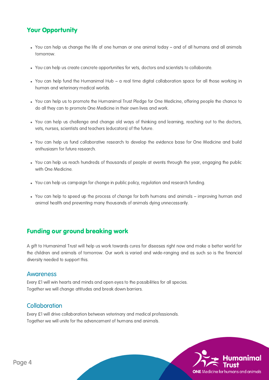## Your Opportunity

- You can help us change the life of one human or one animal today and of all humans and all animals tomorrow.
- You can help us create concrete opportunities for vets, doctors and scientists to collaborate.
- You can help fund the Humanimal Hub a real time digital collaboration space for all those working in human and veterinary medical worlds.
- You can help us to promote the Humanimal Trust Pledge for One Medicine, offering people the chance to do all they can to promote One Medicine in their own lives and work.
- You can help us challenge and change old ways of thinking and learning, reaching out to the doctors, vets, nurses, scientists and teachers (educators) of the future.
- You can help us fund collaborative research to develop the evidence base for One Medicine and build enthusiasm for future research.
- You can help us reach hundreds of thousands of people at events through the year, engaging the public with One Medicine.
- You can help us campaign for change in public policy, regulation and research funding.
- You can help to speed up the process of change for both humans and animals improving human and animal health and preventing many thousands of animals dying unnecessarily.

## Funding our ground breaking work

A gift to Humanimal Trust will help us work towards cures for diseases right now and make a better world for the children and animals of tomorrow. Our work is varied and wide-ranging and as such so is the financial diversity needed to support this.

#### Awareness

Every £1 will win hearts and minds and open eyes to the possibilities for all species. Together we will change attitudes and break down barriers.

#### **Collaboration**

Every £1 will drive collaboration between veterinary and medical professionals. Together we will unite for the advancement of humans and animals.

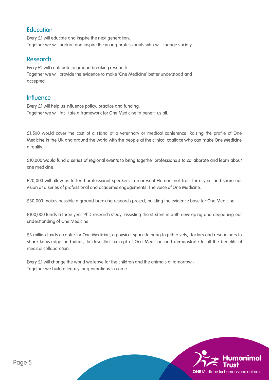## **Education**

Every £1 will educate and inspire the next generation. Together we will nurture and inspire the young professionals who will change society.

## Research

Every £1 will contribute to ground breaking research. Together we will provide the evidence to make 'One Medicine' better understood and accepted.

### **Influence**

Every £1 will help us influence policy, practice and funding. Together we will facilitate a framework for One Medicine to benefit us all.

£1,500 would cover the cost of a stand at a veterinary or medical conference. Raising the profile of One Medicine in the UK and around the world with the people at the clinical coalface who can make One Medicine a reality.

£10,000 would fund a series of regional events to bring together professionals to collaborate and learn about one medicine.

£20,000 will allow us to fund professional speakers to represent Humanimal Trust for a year and share our vision at a series of professional and academic engagements. The voice of One Medicine.

£30,000 makes possible a ground-breaking research project, building the evidence base for One Medicine.

£100,000 funds a three year PhD research study, assisting the student in both developing and deepening our understanding of One Medicine.

£3 million funds a centre for One Medicine, a physical space to bring together vets, doctors and researchers to share knowledge and ideas, to drive the concept of One Medicine and demonstrate to all the benefits of medical collaboration.

Every £1 will change the world we leave for the children and the animals of tomorrow - Together we build a legacy for generations to come.

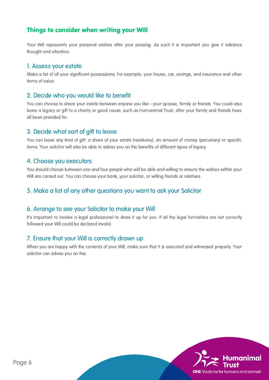## Things to consider when writing your Will

Your Will represents your personal wishes after your passing. As such it is important you give it advance thought and attention.

#### 1. Assess your estate

Make a list of all your significant possessions. For example, your house, car, savings, and insurance and other items of value.

#### 2. Decide who you would like to benefit

You can choose to share your estate between anyone you like - your spouse, family or friends. You could also leave a legacy or gift to a charity or good cause, such as Humanimal Trust, after your family and friends have all been provided for.

#### 3. Decide what sort of gift to leave

You can leave any kind of gift: a share of your estate (residuary), an amount of money (pecuniary) or specific items. Your solicitor will also be able to advise you on the benefits of different types of legacy.

#### 4. Choose you executors

You should choose between one and four people who will be able and willing to ensure the wishes within your Will are carried out. You can choose your bank, your solicitor, or willing friends or relatives.

#### 5. Make a list of any other questions you want to ask your Solicitor

#### 6. Arrange to see your Solicitor to make your Will

It's important to involve a legal professional to draw it up for you. If all the legal formalities are not correctly followed your Will could be declared invalid.

#### 7. Ensure that your Will is correctly drawn up

When you are happy with the contents of your Will, make sure that it is executed and witnessed properly. Your solicitor can advise you on this.

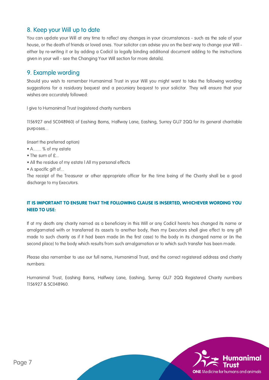## 8. Keep your Will up to date

You can update your Will at any time to reflect any changes in your circumstances - such as the sale of your house, or the death of friends or loved ones. Your solicitor can advise you on the best way to change your Will either by re-writing it or by adding a Codicil (a legally binding additional document adding to the instructions given in your will - see the Changing Your Will section for more details).

### 9. Example wording

Should you wish to remember Humanimal Trust in your Will you might want to take the following wording suggestions for a residuary bequest and a pecuniary bequest to your solicitor. They will ensure that your wishes are accurately followed:

I give to Humanimal Trust (registered charity numbers

1156927 and SC048960) of Eashing Barns, Halfway Lane, Eashing, Surrey GU7 2QQ for its general charitable purposes...

(insert the preferred option)

- A....... % of my estate
- The sum of £...
- All the residue of my estate l All my personal effects
- A specific gift of...

The receipt of the Treasurer or other appropriate officer for the time being of the Charity shall be a good discharge to my Executors.

#### IT IS IMPORTANT TO ENSURE THAT THE FOLLOWING CLAUSE IS INSERTED, WHICHEVER WORDING YOU NEED TO USE:

If at my death any charity named as a beneficiary in this Will or any Codicil hereto has changed its name or amalgamated with or transferred its assets to another body, then my Executors shall give effect to any gift made to such charity as if it had been made (in the first case) to the body in its changed name or (in the second place) to the body which results from such amalgamation or to which such transfer has been made.

Please also remember to use our full name, Humanimal Trust, and the correct registered address and charity numbers:

Humanimal Trust, Eashing Barns, Halfway Lane, Eashing, Surrey GU7 2QQ Registered Charity numbers 1156927 & SC048960.

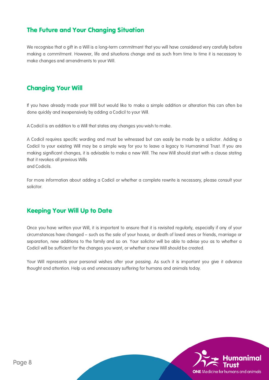## The Future and Your Changing Situation

We recognise that a gift in a Will is a long-term commitment that you will have considered very carefully before making a commitment. However, life and situations change and as such from time to time it is necessary to make changes and amendments to your Will.

## Changing Your Will

If you have already made your Will but would like to make a simple addition or alteration this can often be done quickly and inexpensively by adding a Codicil to your Will.

A Codicil is an addition to a Will that states any changes you wish to make.

A Codicil requires specific wording and must be witnessed but can easily be made by a solicitor. Adding a Codicil to your existing Will may be a simple way for you to leave a legacy to Humanimal Trust. If you are making significant changes, it is advisable to make a new Will. The new Will should start with a clause stating that it revokes all previous Wills and Codicils.

For more information about adding a Codicil or whether a complete rewrite is necessary, please consult your solicitor.

## Keeping Your Will Up to Date

Once you have written your Will, it is important to ensure that it is revisited regularly, especially if any of your circumstances have changed – such as the sale of your house, or death of loved ones or friends, marriage or separation, new additions to the family and so on. Your solicitor will be able to advise you as to whether a Codicil will be sufficient for the changes you want, or whether a new Will should be created.

Your Will represents your personal wishes after your passing. As such it is important you give it advance thought and attention. Help us end unnecessary suffering for humans and animals today.